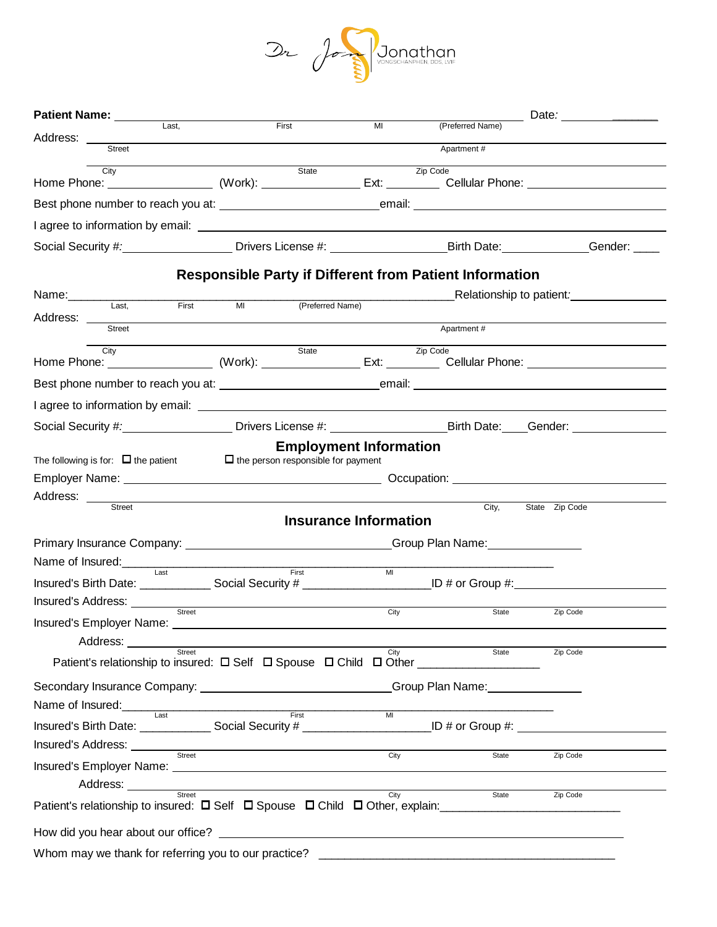

|               | Patient Name: _______                    |        |                                                      |                                                                                                                                                                                                                                      |                |          | (Preferred Name)                                                                                                                                                                                                                     | Date: _______________                                       |  |
|---------------|------------------------------------------|--------|------------------------------------------------------|--------------------------------------------------------------------------------------------------------------------------------------------------------------------------------------------------------------------------------------|----------------|----------|--------------------------------------------------------------------------------------------------------------------------------------------------------------------------------------------------------------------------------------|-------------------------------------------------------------|--|
| Address: ___  |                                          | Last,  |                                                      | First<br><u> 1989 - John Stein, Amerikaansk politiker (</u>                                                                                                                                                                          | MI             |          |                                                                                                                                                                                                                                      |                                                             |  |
|               | Street                                   |        |                                                      |                                                                                                                                                                                                                                      |                |          | Apartment #                                                                                                                                                                                                                          |                                                             |  |
|               | City                                     |        |                                                      | State                                                                                                                                                                                                                                |                | Zip Code | Home Phone: <u>(and Superintendo Controller Controller Controller Controller Controller Controller Controller Controller Controller Controller Controller Controller Controller Controller Controller Controller Controller Cont</u> |                                                             |  |
|               |                                          |        |                                                      |                                                                                                                                                                                                                                      |                |          |                                                                                                                                                                                                                                      |                                                             |  |
|               |                                          |        |                                                      |                                                                                                                                                                                                                                      |                |          |                                                                                                                                                                                                                                      |                                                             |  |
|               |                                          |        |                                                      |                                                                                                                                                                                                                                      |                |          | Social Security #: Contract Control of Divers License #: Contract Contract Control Dirth Date: Contract Contract Contract Contract Control Oriental Dirth Date: Contract Contract Contract Contract Contract Contract Contract       |                                                             |  |
|               |                                          |        |                                                      |                                                                                                                                                                                                                                      |                |          | <b>Responsible Party if Different from Patient Information</b>                                                                                                                                                                       |                                                             |  |
| Name:________ |                                          |        |                                                      |                                                                                                                                                                                                                                      |                |          |                                                                                                                                                                                                                                      | Relationship to patient:<br><u>Relationship</u> to patient: |  |
|               | Last,                                    | First  | M <sub>l</sub>                                       | (Preferred Name)                                                                                                                                                                                                                     |                |          |                                                                                                                                                                                                                                      |                                                             |  |
|               |                                          |        |                                                      |                                                                                                                                                                                                                                      |                |          | Apartment #                                                                                                                                                                                                                          |                                                             |  |
|               | City                                     |        |                                                      | State                                                                                                                                                                                                                                |                | Zip Code | Home Phone: ___________________(Work): _________________Ext: __________Cellular Phone: _______________________                                                                                                                       |                                                             |  |
|               |                                          |        |                                                      |                                                                                                                                                                                                                                      |                |          |                                                                                                                                                                                                                                      |                                                             |  |
|               |                                          |        |                                                      |                                                                                                                                                                                                                                      |                |          |                                                                                                                                                                                                                                      |                                                             |  |
|               |                                          |        |                                                      |                                                                                                                                                                                                                                      |                |          | Social Security #:____________________Drivers License #: _______________________Birth Date: ____Gender: ______                                                                                                                       |                                                             |  |
|               | The following is for: $\Box$ the patient |        |                                                      | <b>Employment Information</b><br>$\Box$ the person responsible for payment                                                                                                                                                           |                |          |                                                                                                                                                                                                                                      |                                                             |  |
| Address:      | Street                                   |        |                                                      |                                                                                                                                                                                                                                      |                |          | City,                                                                                                                                                                                                                                | State Zip Code                                              |  |
|               |                                          |        |                                                      | <b>Insurance Information</b>                                                                                                                                                                                                         |                |          |                                                                                                                                                                                                                                      |                                                             |  |
|               |                                          |        |                                                      |                                                                                                                                                                                                                                      |                |          | Primary Insurance Company: ________________________________Group Plan Name: _______________________                                                                                                                                  |                                                             |  |
|               | Insured's Address: _____________         | Last   |                                                      | First<br>the control of the control of the control of the control of the control of the control of                                                                                                                                   | MI             |          | Insured's Birth Date: _______________Social Security # _________________________ID # or Group #:____                                                                                                                                 |                                                             |  |
|               |                                          | Street |                                                      |                                                                                                                                                                                                                                      | City           |          | State                                                                                                                                                                                                                                | Zip Code                                                    |  |
|               | Address:                                 |        |                                                      |                                                                                                                                                                                                                                      |                |          |                                                                                                                                                                                                                                      |                                                             |  |
|               |                                          | Street |                                                      |                                                                                                                                                                                                                                      | City           |          | State                                                                                                                                                                                                                                | Zip Code                                                    |  |
|               |                                          |        |                                                      |                                                                                                                                                                                                                                      |                |          | Secondary Insurance Company: _______________________________Group Plan Name: ______________________                                                                                                                                  |                                                             |  |
|               |                                          |        |                                                      | Name of Insured:<br>Last First                                                                                                                                                                                                       | M <sub>l</sub> |          |                                                                                                                                                                                                                                      |                                                             |  |
|               |                                          |        |                                                      |                                                                                                                                                                                                                                      |                |          | Insured's Birth Date: _______________Social Security # _________________________ID # or Group #:                                                                                                                                     |                                                             |  |
|               |                                          |        |                                                      | Insured's Address: <u>with the Street Street Street Street Street Street Street Street Street Street Street Street Street Street Street Street Street Street Street Street Street Street Street Street Street Street Street Stre</u> | City           |          | State                                                                                                                                                                                                                                | Zip Code                                                    |  |
|               |                                          |        |                                                      |                                                                                                                                                                                                                                      |                |          |                                                                                                                                                                                                                                      |                                                             |  |
|               |                                          | Street |                                                      |                                                                                                                                                                                                                                      | City           |          | State                                                                                                                                                                                                                                | Zip Code                                                    |  |
|               |                                          |        |                                                      |                                                                                                                                                                                                                                      |                |          | Patient's relationship to insured: $\Box$ Self $\Box$ Spouse $\Box$ Child $\Box$ Other, explain:                                                                                                                                     |                                                             |  |
|               |                                          |        |                                                      |                                                                                                                                                                                                                                      |                |          | How did you hear about our office? Letter and the state of the state of the state of the state of the state of                                                                                                                       |                                                             |  |
|               |                                          |        | Whom may we thank for referring you to our practice? |                                                                                                                                                                                                                                      |                |          |                                                                                                                                                                                                                                      |                                                             |  |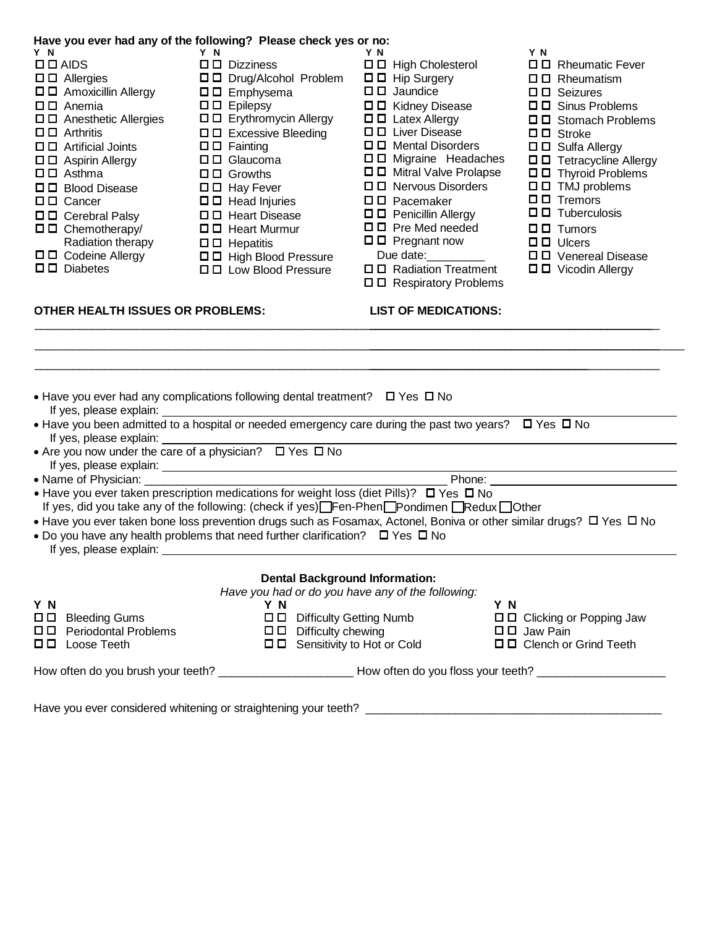|                                                                                                                                                                                                                                                                                                                                                                                                                                                                                                                 | Have you ever had any of the following? Please check yes or no:                                                                                                                                                                                                                                                                                                                                                                                                                                                                                                                                                                                                                                              |                                                                                                                                                                                                                                                                                                                                                                                                                                                                      |                                                                                                                                                                                                                                                                                                                                                                                                                                                           |
|-----------------------------------------------------------------------------------------------------------------------------------------------------------------------------------------------------------------------------------------------------------------------------------------------------------------------------------------------------------------------------------------------------------------------------------------------------------------------------------------------------------------|--------------------------------------------------------------------------------------------------------------------------------------------------------------------------------------------------------------------------------------------------------------------------------------------------------------------------------------------------------------------------------------------------------------------------------------------------------------------------------------------------------------------------------------------------------------------------------------------------------------------------------------------------------------------------------------------------------------|----------------------------------------------------------------------------------------------------------------------------------------------------------------------------------------------------------------------------------------------------------------------------------------------------------------------------------------------------------------------------------------------------------------------------------------------------------------------|-----------------------------------------------------------------------------------------------------------------------------------------------------------------------------------------------------------------------------------------------------------------------------------------------------------------------------------------------------------------------------------------------------------------------------------------------------------|
| Y N<br>$\square$ $\square$ $\triangle$ AIDS<br>$\square$ $\square$ Allergies<br>□□ Amoxicillin Allergy<br>$\square$ $\square$ Anemia<br>$\Box$ $\Box$ Anesthetic Allergies<br>$\square$ $\square$ Arthritis<br>$\Box$ $\Box$ Artificial Joints<br>$\square$ $\square$ Aspirin Allergy<br>$\square$ $\square$ Asthma<br>□□ Blood Disease<br>$\square$ $\square$ Cancer<br>ロロ Cerebral Palsy<br>$\Box$ $\Box$ Chemotherapy/<br>Radiation therapy<br>$\Box$ $\Box$ Codeine Allergy<br>$\square$ $\square$ Diabetes | Y N<br>$\square$ $\square$ Dizziness<br>ロロ Drug/Alcohol Problem<br>$\square$ $\square$ Emphysema<br>$\square$ $\square$ Epilepsy<br>□□ Erythromycin Allergy<br>□□ Excessive Bleeding<br>$\square$ $\square$ Fainting<br>$\square$ $\square$ Glaucoma<br>$\Box$ $\Box$ Growths<br>$\Box$ $\Box$ Hay Fever<br>$\square$ $\square$ Head Injuries<br>□□ Heart Disease<br>$\square$ $\square$ Heart Murmur<br>$\square$ $\square$ Hepatitis<br>□□ High Blood Pressure<br>$\Box$ $\Box$ Low Blood Pressure                                                                                                                                                                                                         | Y N<br>$\Box$ $\Box$ High Cholesterol<br>$\Box$ $\Box$ Hip Surgery<br>$\Box$ $\Box$ Jaundice<br>ロロ Kidney Disease<br>$\square$ $\square$ Latex Allergy<br>□□ Liver Disease<br>□□ Mental Disorders<br>ロロ Migraine Headaches<br>□□ Mitral Valve Prolapse<br>$\Box$ D Nervous Disorders<br>$\Box$ $\Box$ Pacemaker<br>ロロ Penicillin Allergy<br>$\Box$ $\Box$ Pre Med needed<br>$\square$ Pregnant now<br>Due date:<br>□□ Radiation Treatment<br>□□ Respiratory Problems | Y N<br>$\Box$ Rheumatic Fever<br>$\square$ $\square$ Rheumatism<br>$\Box$ $\Box$ Seizures<br>□□ Sinus Problems<br>□□ Stomach Problems<br>$\Box$ $\Box$ Stroke<br>□□ Sulfa Allergy<br>□□ Tetracycline Allergy<br>$\Box$ $\Box$ Thyroid Problems<br>$\square$ $\square$ TMJ problems<br>$\square$ $\square$ Tremors<br>$\square$ $\square$ Tuberculosis<br>$\Box$ $\Box$ Tumors<br>$\square$ $\square$ Ulcers<br>□ □ Venereal Disease<br>□□ Vicodin Allergy |
| <b>OTHER HEALTH ISSUES OR PROBLEMS:</b>                                                                                                                                                                                                                                                                                                                                                                                                                                                                         |                                                                                                                                                                                                                                                                                                                                                                                                                                                                                                                                                                                                                                                                                                              | <b>LIST OF MEDICATIONS:</b>                                                                                                                                                                                                                                                                                                                                                                                                                                          |                                                                                                                                                                                                                                                                                                                                                                                                                                                           |
| If yes, please explain:<br>If yes, please explain:<br>• Name of Physician: ________                                                                                                                                                                                                                                                                                                                                                                                                                             | • Have you ever had any complications following dental treatment? $\Box$ Yes $\Box$ No<br>• Have you been admitted to a hospital or needed emergency care during the past two years? $\Box$ Yes $\Box$ No<br>• Are you now under the care of a physician? $\Box$ Yes $\Box$ No<br>• Have you ever taken prescription medications for weight loss (diet Pills)? $\Box$ Yes $\Box$ No<br>If yes, did you take any of the following: (check if yes) Fen-Phen Pondimen Redux Dother<br>• Have you ever taken bone loss prevention drugs such as Fosamax, Actonel, Boniva or other similar drugs? $\Box$ Yes $\Box$ No<br>• Do you have any health problems that need further clarification? $\Box$ Yes $\Box$ No |                                                                                                                                                                                                                                                                                                                                                                                                                                                                      | Phone: The contract of the contract of the contract of the contract of the contract of the contract of the contract of the contract of the contract of the contract of the contract of the contract of the contract of the con                                                                                                                                                                                                                            |
|                                                                                                                                                                                                                                                                                                                                                                                                                                                                                                                 | <b>Dental Background Information:</b><br>Have you had or do you have any of the following:                                                                                                                                                                                                                                                                                                                                                                                                                                                                                                                                                                                                                   |                                                                                                                                                                                                                                                                                                                                                                                                                                                                      |                                                                                                                                                                                                                                                                                                                                                                                                                                                           |
| Y N                                                                                                                                                                                                                                                                                                                                                                                                                                                                                                             | Y N                                                                                                                                                                                                                                                                                                                                                                                                                                                                                                                                                                                                                                                                                                          | ΥN                                                                                                                                                                                                                                                                                                                                                                                                                                                                   |                                                                                                                                                                                                                                                                                                                                                                                                                                                           |
| 0 D I<br><b>Bleeding Gums</b><br>ロロ Periodontal Problems                                                                                                                                                                                                                                                                                                                                                                                                                                                        | □□ Difficulty Getting Numb<br>$\Box$ Difficulty chewing                                                                                                                                                                                                                                                                                                                                                                                                                                                                                                                                                                                                                                                      |                                                                                                                                                                                                                                                                                                                                                                                                                                                                      | $\Box$ $\Box$ Clicking or Popping Jaw<br>□□ Jaw Pain                                                                                                                                                                                                                                                                                                                                                                                                      |

- Loose Teeth
- 
- Sensitivity to Hot or Cold

How often do you brush your teeth? \_\_\_\_\_\_\_\_\_\_\_\_\_\_\_\_\_\_\_\_\_ How often do you floss your teeth? \_\_\_\_\_\_\_\_\_\_\_\_\_\_\_\_\_\_\_\_

Clench or Grind Teeth

Have you ever considered whitening or straightening your teeth? \_\_\_\_\_\_\_\_\_\_\_\_\_\_\_\_\_\_\_\_\_\_\_\_\_\_\_\_\_\_\_\_\_\_\_\_\_\_\_\_\_\_\_\_\_\_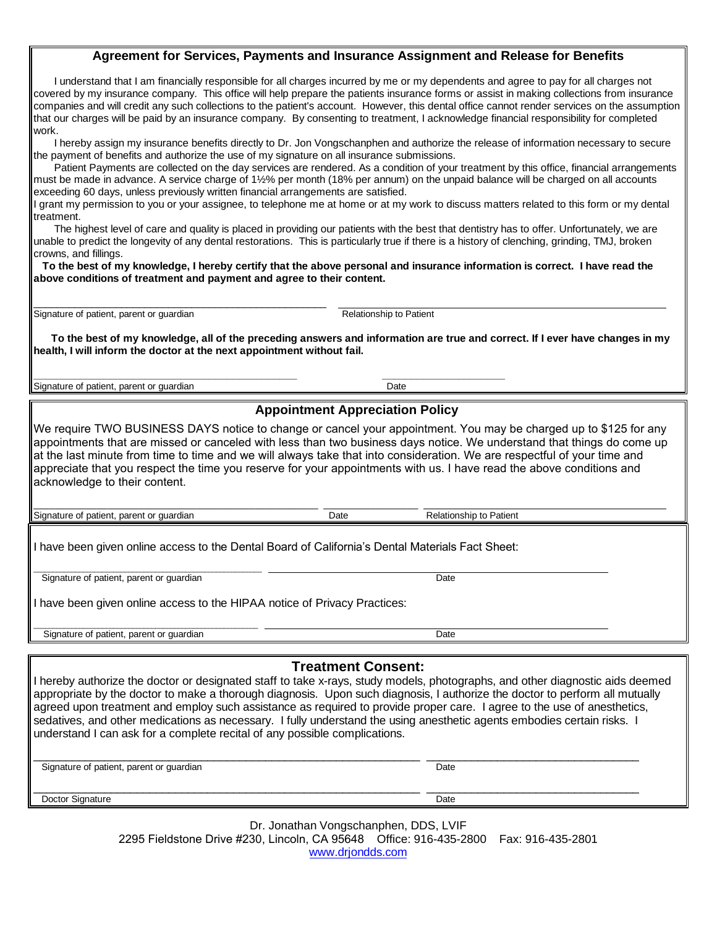## **Agreement for Services, Payments and Insurance Assignment and Release for Benefits**

 I understand that I am financially responsible for all charges incurred by me or my dependents and agree to pay for all charges not covered by my insurance company. This office will help prepare the patients insurance forms or assist in making collections from insurance companies and will credit any such collections to the patient's account. However, this dental office cannot render services on the assumption that our charges will be paid by an insurance company. By consenting to treatment, I acknowledge financial responsibility for completed work.

 I hereby assign my insurance benefits directly to Dr. Jon Vongschanphen and authorize the release of information necessary to secure the payment of benefits and authorize the use of my signature on all insurance submissions.

 Patient Payments are collected on the day services are rendered. As a condition of your treatment by this office, financial arrangements must be made in advance. A service charge of 1½% per month (18% per annum) on the unpaid balance will be charged on all accounts exceeding 60 days, unless previously written financial arrangements are satisfied.

I grant my permission to you or your assignee, to telephone me at home or at my work to discuss matters related to this form or my dental treatment.

 The highest level of care and quality is placed in providing our patients with the best that dentistry has to offer. Unfortunately, we are unable to predict the longevity of any dental restorations. This is particularly true if there is a history of clenching, grinding, TMJ, broken crowns, and fillings.

 **To the best of my knowledge, I hereby certify that the above personal and insurance information is correct. I have read the above conditions of treatment and payment and agree to their content.**

\_\_\_\_\_\_\_\_\_\_\_\_\_\_\_\_\_\_\_\_\_\_\_\_\_\_\_\_\_\_\_\_\_\_\_\_\_\_\_\_\_\_\_\_\_\_\_\_\_\_ Signature of patient, parent or guardian and Relationship to Patient

 **To the best of my knowledge, all of the preceding answers and information are true and correct. If I ever have changes in my health, I will inform the doctor at the next appointment without fail.** 

**\_\_\_\_\_\_\_\_\_\_\_\_\_\_\_\_\_\_\_\_\_\_\_\_\_\_\_\_\_\_\_\_\_\_\_\_\_\_\_\_\_\_\_\_\_ \_\_\_\_\_\_\_\_\_\_\_\_\_\_\_\_\_\_\_\_\_** Signature of patient, parent or guardian Date Date Date

## **Appointment Appreciation Policy**

We require TWO BUSINESS DAYS notice to change or cancel your appointment. You may be charged up to \$125 for any appointments that are missed or canceled with less than two business days notice. We understand that things do come up at the last minute from time to time and we will always take that into consideration. We are respectful of your time and appreciate that you respect the time you reserve for your appointments with us. I have read the above conditions and acknowledge to their content.

\_\_\_\_\_\_\_\_\_\_\_\_\_\_\_\_\_\_\_\_\_\_\_\_\_\_\_\_\_\_\_\_\_\_\_\_\_\_\_\_\_\_\_\_\_\_\_\_\_\_\_\_\_\_ \_\_\_\_\_\_\_\_\_\_\_\_\_\_\_\_\_\_ Signature of patient, parent or guardian Date Date Date Relationship to Patient

I have been given online access to the Dental Board of California's Dental Materials Fact Sheet:

Let us a signature of patient, parent or guardian and the set of the state of patient. Date

I have been given online access to the HIPAA notice of Privacy Practices:

 $\overline{\phantom{a}}$  , and the contribution of the contribution of  $\overline{\phantom{a}}$  , and  $\overline{\phantom{a}}$  , and  $\overline{\phantom{a}}$  , and  $\overline{\phantom{a}}$  , and  $\overline{\phantom{a}}$  , and  $\overline{\phantom{a}}$  , and  $\overline{\phantom{a}}$  , and  $\overline{\phantom{a}}$  , and  $\overline{\phantom{a}}$  , and Signature of patient, parent or guardian Date

## **Treatment Consent:**

I hereby authorize the doctor or designated staff to take x-rays, study models, photographs, and other diagnostic aids deemed appropriate by the doctor to make a thorough diagnosis. Upon such diagnosis, I authorize the doctor to perform all mutually agreed upon treatment and employ such assistance as required to provide proper care. I agree to the use of anesthetics, sedatives, and other medications as necessary. I fully understand the using anesthetic agents embodies certain risks. I understand I can ask for a complete recital of any possible complications.

| Signature of patient, parent or guardian | Date |  |
|------------------------------------------|------|--|
|                                          |      |  |

Doctor Signature Date **Date** 

Dr. Jonathan Vongschanphen, DDS, LVIF 2295 Fieldstone Drive #230, Lincoln, CA 95648 Office: 916-435-2800 Fax: 916-435-2801 [www.drjondds.com](http://www.drjondds.com/)